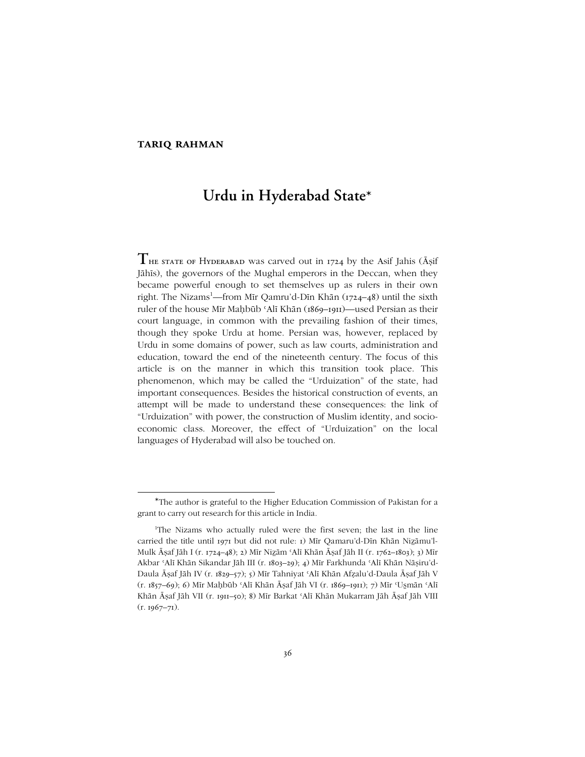## **tariq rahman**

 $\overline{a}$ 

# **Urdu in Hyderabad State\***

**T**he state of Hyderabad was carved out in <sup>1724</sup> by the Asif Jahis (Āṣif Jāhīs), the governors of the Mughal emperors in the Deccan, when they became powerful enough to set themselves up as rulers in their own right. The Nizams<sup>1</sup>—from Mīr Qamru'd-Dīn Khān (1724–48) until the sixth ruler of the house Mīr Maḥbūb 'Alī Khān (1869-1911)—used Persian as their court language, in common with the prevailing fashion of their times, though they spoke Urdu at home. Persian was, however, replaced by Urdu in some domains of power, such as law courts, administration and education, toward the end of the nineteenth century. The focus of this article is on the manner in which this transition took place. This phenomenon, which may be called the "Urduization" of the state, had important consequences. Besides the historical construction of events, an attempt will be made to understand these consequences: the link of ìUrduizationî with power, the construction of Muslim identity, and socioeconomic class. Moreover, the effect of "Urduization" on the local languages of Hyderabad will also be touched on.

<sup>\*</sup>The author is grateful to the Higher Education Commission of Pakistan for a grant to carry out research for this article in India.

<sup>&</sup>lt;sup>1</sup>The Nizams who actually ruled were the first seven; the last in the line carried the title until 1971 but did not rule: 1) Mīr Qamaru'd-Dīn Khān Nizāmu'l-Mulk Āṣaf Jāh I (r. 1724–48); 2) Mīr Nizām ʿAlī Khān Āṣaf Jāh II (r. 1762–1803); 3) Mīr Akbar ʿAlī Khān Sikandar Jāh III (r. 1803–29); 4) Mīr Farkhunda ʿAlī Khān Nāṣiruíd-Daula Āṣaf Jāh IV (r. 1829–57); 5) Mīr Tahniyat ʿAlī Khān Afẓaluíd-Daula Āṣaf Jāh V (r. 1857–69); 6) Mīr Maḥbūb ʿAlī Khān Āṣaf Jāh VI (r. 1869–1911); 7) Mīr ʿUsmān ʿAlī Khān Āṣaf Jāh VII (r. 1911–50); 8) Mīr Barkat ʿAlī Khān Mukarram Jāh Āṣaf Jāh VIII  $(r. 1967 - 71)$ .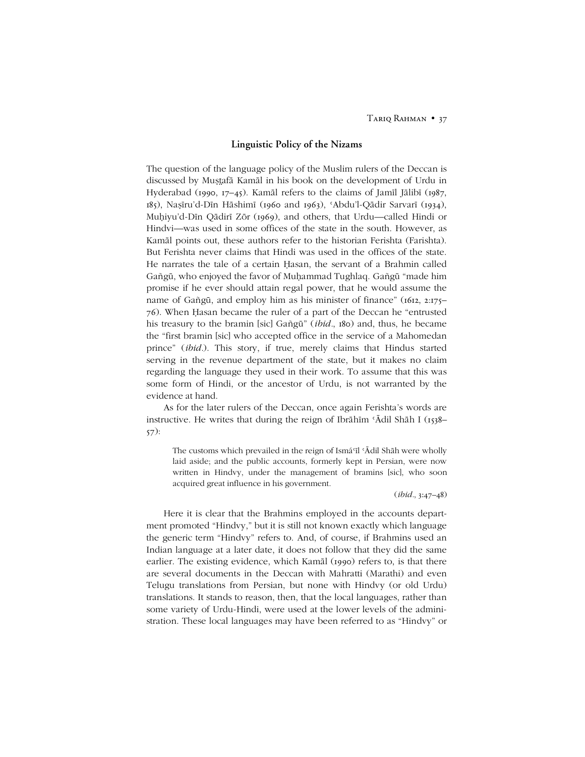## **Linguistic Policy of the Nizams**

The question of the language policy of the Muslim rulers of the Deccan is discussed by Muṣafā Kamāl in his book on the development of Urdu in Hyderabad (1990, 17-45). Kamāl refers to the claims of Jamīl Jālibī (1987, 185), Naṣīruíd-Dīn Hāshimī (1960 and 1963), ʿAbduíl-Qādir Sarvarī (1934), Muḥiyu'd-Dīn Qādirī Zōr (1969), and others, that Urdu—called Hindi or Hindvi—was used in some offices of the state in the south. However, as Kamāl points out, these authors refer to the historian Ferishta (Farishta). But Ferishta never claims that Hindi was used in the offices of the state. He narrates the tale of a certain Ḥasan, the servant of a Brahmin called Gañgū, who enjoyed the favor of Muḥammad Tughlaq. Gañgū "made him promise if he ever should attain regal power, that he would assume the name of Gañgū, and employ him as his minister of finance" ( $1612$ ,  $2:175$ – 76). When Hasan became the ruler of a part of the Deccan he "entrusted" his treasury to the bramin [sic] Gañgū" (*ibid.*, 180) and, thus, he became the "first bramin [sic] who accepted office in the service of a Mahomedan prince" (*ibid.*). This story, if true, merely claims that Hindus started serving in the revenue department of the state, but it makes no claim regarding the language they used in their work. To assume that this was some form of Hindi, or the ancestor of Urdu, is not warranted by the evidence at hand.

As for the later rulers of the Deccan, once again Ferishtaís words are instructive. He writes that during the reign of Ibrāhīm 'Ādil Shāh I ( $_{1538}$ – 57):

The customs which prevailed in the reign of Ismáʿīl ʿĀdil Shāh were wholly laid aside; and the public accounts, formerly kept in Persian, were now written in Hindvy, under the management of bramins [sic], who soon acquired great influence in his government.

(*ibid.*, 3:47–48)

Here it is clear that the Brahmins employed in the accounts department promoted "Hindvy," but it is still not known exactly which language the generic term "Hindvy" refers to. And, of course, if Brahmins used an Indian language at a later date, it does not follow that they did the same earlier. The existing evidence, which Kamāl (1990) refers to, is that there are several documents in the Deccan with Mahratti (Marathi) and even Telugu translations from Persian, but none with Hindvy (or old Urdu) translations. It stands to reason, then, that the local languages, rather than some variety of Urdu-Hindi, were used at the lower levels of the administration. These local languages may have been referred to as "Hindvy" or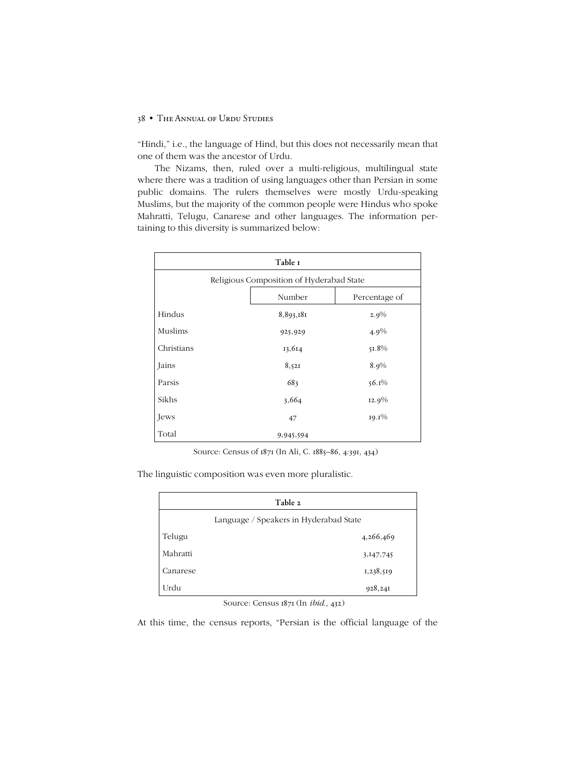"Hindi," i.e., the language of Hind, but this does not necessarily mean that one of them was the ancestor of Urdu.

The Nizams, then, ruled over a multi-religious, multilingual state where there was a tradition of using languages other than Persian in some public domains. The rulers themselves were mostly Urdu-speaking Muslims, but the majority of the common people were Hindus who spoke Mahratti, Telugu, Canarese and other languages. The information pertaining to this diversity is summarized below:

| Table I                                  |           |               |  |  |  |
|------------------------------------------|-----------|---------------|--|--|--|
| Religious Composition of Hyderabad State |           |               |  |  |  |
|                                          | Number    | Percentage of |  |  |  |
| Hindus                                   | 8,893,181 | 2.9%          |  |  |  |
| Muslims                                  | 925,929   | $4.9\%$       |  |  |  |
| Christians                               | 13,614    | $51.8\%$      |  |  |  |
| Jains                                    | 8,521     | 8.9%          |  |  |  |
| Parsis                                   | 683       | $56.1\%$      |  |  |  |
| Sikhs                                    | 3,664     | $12.9\%$      |  |  |  |
| Jews                                     | 47        | $19.1\%$      |  |  |  |
| Total                                    | 9,945,594 |               |  |  |  |

Source: Census of 1871 (In Ali, C. 1885-86, 4:391, 434)

The linguistic composition was even more pluralistic.

| Table 2                                |           |  |  |  |  |
|----------------------------------------|-----------|--|--|--|--|
| Language / Speakers in Hyderabad State |           |  |  |  |  |
| Telugu                                 | 4,266,469 |  |  |  |  |
| Mahratti                               | 3,147,745 |  |  |  |  |
| Canarese                               | 1,238,519 |  |  |  |  |
| Urdu                                   | 928,241   |  |  |  |  |

Source: Census 1871 (In *ibid*., 432)

At this time, the census reports, "Persian is the official language of the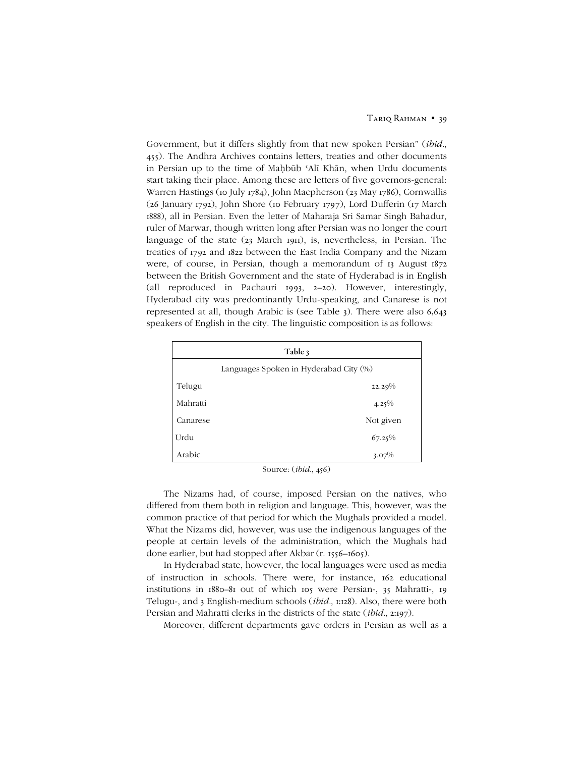Government, but it differs slightly from that new spoken Persian" *(ibid.*, 455). The Andhra Archives contains letters, treaties and other documents in Persian up to the time of Maḥbūb ʿAlī Khān, when Urdu documents start taking their place. Among these are letters of five governors-general: Warren Hastings (10 July 1784), John Macpherson (23 May 1786), Cornwallis (26 January 1792), John Shore (10 February 1797), Lord Dufferin (17 March 1888), all in Persian. Even the letter of Maharaja Sri Samar Singh Bahadur, ruler of Marwar, though written long after Persian was no longer the court language of the state (23 March 1911), is, nevertheless, in Persian. The treaties of 1792 and 1822 between the East India Company and the Nizam were, of course, in Persian, though a memorandum of 13 August 1872 between the British Government and the state of Hyderabad is in English (all reproduced in Pachauri 1993, 2–20). However, interestingly, Hyderabad city was predominantly Urdu-speaking, and Canarese is not represented at all, though Arabic is (see Table 3). There were also 6,643 speakers of English in the city. The linguistic composition is as follows:

| Table 3                                |           |  |  |  |  |
|----------------------------------------|-----------|--|--|--|--|
| Languages Spoken in Hyderabad City (%) |           |  |  |  |  |
| Telugu                                 | 22.29%    |  |  |  |  |
| Mahratti                               | $4.25\%$  |  |  |  |  |
| Canarese                               | Not given |  |  |  |  |
| Urdu                                   | $67.25\%$ |  |  |  |  |
| Arabic                                 | $3.07\%$  |  |  |  |  |

Source: (*ibid*., 456)

The Nizams had, of course, imposed Persian on the natives, who differed from them both in religion and language. This, however, was the common practice of that period for which the Mughals provided a model. What the Nizams did, however, was use the indigenous languages of the people at certain levels of the administration, which the Mughals had done earlier, but had stopped after Akbar (r. 1556–1605).

In Hyderabad state, however, the local languages were used as media of instruction in schools. There were, for instance, 162 educational institutions in 1880–81 out of which 105 were Persian-, 35 Mahratti-, 19 Telugu-, and 3 English-medium schools (*ibid.*, 1:128). Also, there were both Persian and Mahratti clerks in the districts of the state (*ibid.*, 2:197).

Moreover, different departments gave orders in Persian as well as a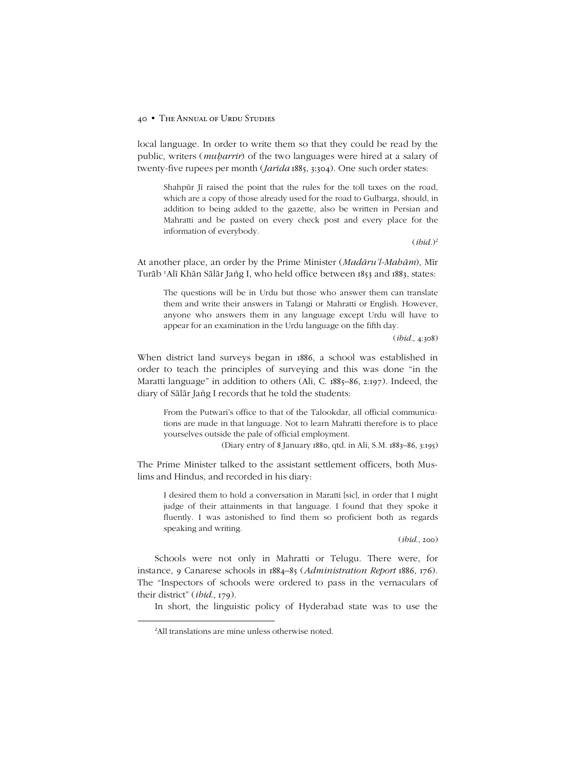#### 40 • THE ANNUAL OF URDU STUDIES

local language. In order to write them so that they could be read by the public, writers (*muḥarrir*) of the two languages were hired at a salary of twenty-five rupees per month (*Jarīda* 1885, 3:304). One such order states:

Shahpūr Jī raised the point that the rules for the toll taxes on the road, which are a copy of those already used for the road to Gulbarga, should, in addition to being added to the gazette, also be written in Persian and Mahratti and be pasted on every check post and every place for the information of everybody.

 $(ibid.)<sup>2</sup>$ 

At another place, an order by the Prime Minister (*Madāruíl-Mahām*), Mīr Turāb ʿAlī Khān Sālār Jañg I, who held office between 1853 and 1883, states:

The questions will be in Urdu but those who answer them can translate them and write their answers in Talangi or Mahratti or English. However, anyone who answers them in any language except Urdu will have to appear for an examination in the Urdu language on the fifth day.

(*ibid.*, 4:308)

When district land surveys began in 1886, a school was established in order to teach the principles of surveying and this was done "in the Maratti language" in addition to others (Ali, C. 1885-86, 2:197). Indeed, the diary of Sālār Jañg I records that he told the students:

From the Putwari's office to that of the Talookdar, all official communications are made in that language. Not to learn Mahratti therefore is to place yourselves outside the pale of official employment.

(Diary entry of 8 January 1880, qtd. in Ali, S.M. 1883-86, 3:195)

The Prime Minister talked to the assistant settlement officers, both Muslims and Hindus, and recorded in his diary:

I desired them to hold a conversation in Maratti [sic], in order that I might judge of their attainments in that language. I found that they spoke it fluently. I was astonished to find them so proficient both as regards speaking and writing.

(*ibid*., 200)

Schools were not only in Mahratti or Telugu. There were, for instance, 9 Canarese schools in 1884-85 (*Administration Report* 1886, 176). The "Inspectors of schools were ordered to pass in the vernaculars of their district" (*ibid.*, 179).

In short, the linguistic policy of Hyderabad state was to use the

 $\overline{2}$ <sup>2</sup>All translations are mine unless otherwise noted.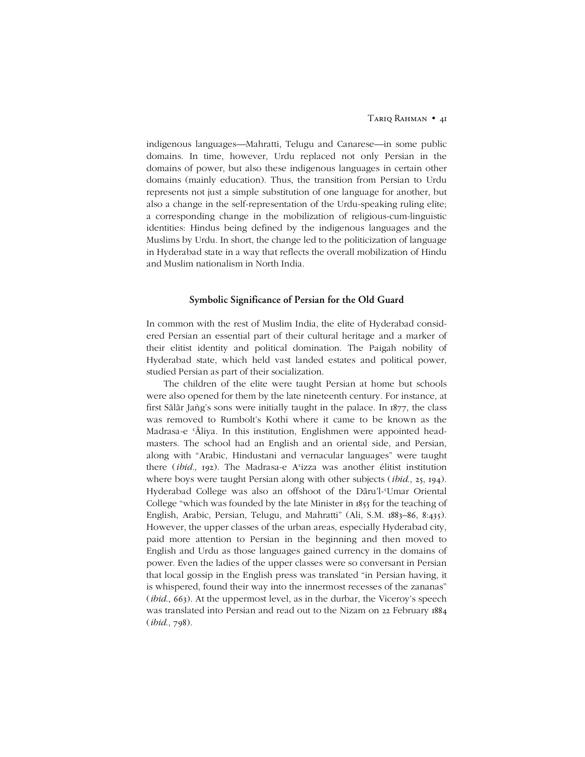indigenous languages—Mahratti, Telugu and Canarese—in some public domains. In time, however, Urdu replaced not only Persian in the domains of power, but also these indigenous languages in certain other domains (mainly education). Thus, the transition from Persian to Urdu represents not just a simple substitution of one language for another, but also a change in the self-representation of the Urdu-speaking ruling elite; a corresponding change in the mobilization of religious-cum-linguistic identities: Hindus being defined by the indigenous languages and the Muslims by Urdu. In short, the change led to the politicization of language in Hyderabad state in a way that reflects the overall mobilization of Hindu and Muslim nationalism in North India.

## **Symbolic Significance of Persian for the Old Guard**

In common with the rest of Muslim India, the elite of Hyderabad considered Persian an essential part of their cultural heritage and a marker of their elitist identity and political domination. The Paigah nobility of Hyderabad state, which held vast landed estates and political power, studied Persian as part of their socialization.

The children of the elite were taught Persian at home but schools were also opened for them by the late nineteenth century. For instance, at first Sālār Jañgís sons were initially taught in the palace. In 1877, the class was removed to Rumbolt's Kothi where it came to be known as the Madrasa-e ʿĀliya. In this institution, Englishmen were appointed headmasters. The school had an English and an oriental side, and Persian, along with "Arabic, Hindustani and vernacular languages" were taught there (*ibid.*, 192). The Madrasa-e Aʿizza was another élitist institution where boys were taught Persian along with other subjects (*ibid*., 25, 194). Hyderabad College was also an offshoot of the Dāru'l-Umar Oriental College "which was founded by the late Minister in 1855 for the teaching of English, Arabic, Persian, Telugu, and Mahratti" (Ali, S.M. 1883-86, 8:435). However, the upper classes of the urban areas, especially Hyderabad city, paid more attention to Persian in the beginning and then moved to English and Urdu as those languages gained currency in the domains of power. Even the ladies of the upper classes were so conversant in Persian that local gossip in the English press was translated "in Persian having, it is whispered, found their way into the innermost recesses of the zananas" (*ibid.*, 663). At the uppermost level, as in the durbar, the Viceroy's speech was translated into Persian and read out to the Nizam on 22 February 1884 (*ibid*., 798).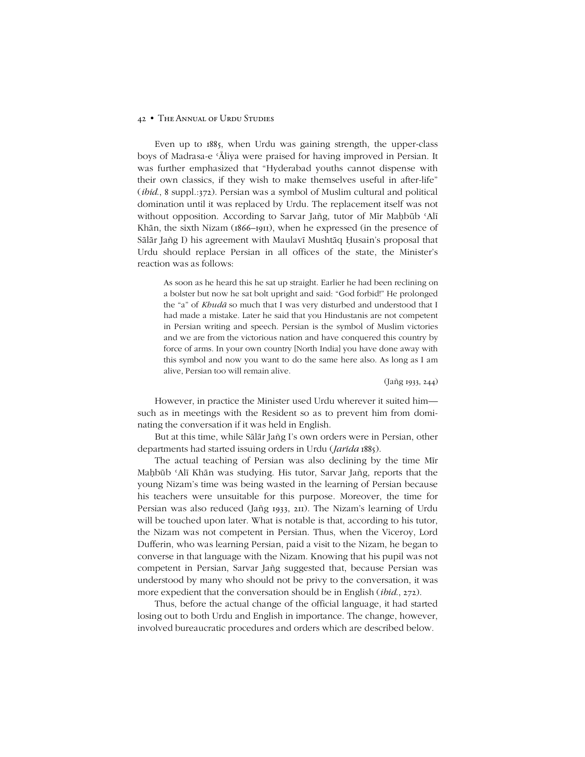#### 42 • THE ANNUAL OF URDU STUDIES

Even up to 1885, when Urdu was gaining strength, the upper-class boys of Madrasa-e ʿĀliya were praised for having improved in Persian. It was further emphasized that "Hyderabad youths cannot dispense with their own classics, if they wish to make themselves useful in after-life" (*ibid*., 8 suppl.:372). Persian was a symbol of Muslim cultural and political domination until it was replaced by Urdu. The replacement itself was not without opposition. According to Sarvar Jañg, tutor of Mīr Maḥbūb 'Alī Khān, the sixth Nizam (1866–1911), when he expressed (in the presence of Sālār Jañg I) his agreement with Maulavī Mushtāq Ḥusain's proposal that Urdu should replace Persian in all offices of the state, the Minister's reaction was as follows:

As soon as he heard this he sat up straight. Earlier he had been reclining on a bolster but now he sat bolt upright and said: "God forbid!" He prolonged the "a" of *Khudā* so much that I was very disturbed and understood that I had made a mistake. Later he said that you Hindustanis are not competent in Persian writing and speech. Persian is the symbol of Muslim victories and we are from the victorious nation and have conquered this country by force of arms. In your own country [North India] you have done away with this symbol and now you want to do the same here also. As long as I am alive, Persian too will remain alive.

(Jañg 1933, 244)

However, in practice the Minister used Urdu wherever it suited him such as in meetings with the Resident so as to prevent him from dominating the conversation if it was held in English.

But at this time, while Sālār Jañg I's own orders were in Persian, other departments had started issuing orders in Urdu (*Jarīda* 1885).

The actual teaching of Persian was also declining by the time Mīr Maḥbūb ʿAlī Khān was studying. His tutor, Sarvar Jañg, reports that the young Nizamís time was being wasted in the learning of Persian because his teachers were unsuitable for this purpose. Moreover, the time for Persian was also reduced (Jañg 1933, 211). The Nizam's learning of Urdu will be touched upon later. What is notable is that, according to his tutor, the Nizam was not competent in Persian. Thus, when the Viceroy, Lord Dufferin, who was learning Persian, paid a visit to the Nizam, he began to converse in that language with the Nizam. Knowing that his pupil was not competent in Persian, Sarvar Jañg suggested that, because Persian was understood by many who should not be privy to the conversation, it was more expedient that the conversation should be in English (*ibid*., 272).

Thus, before the actual change of the official language, it had started losing out to both Urdu and English in importance. The change, however, involved bureaucratic procedures and orders which are described below.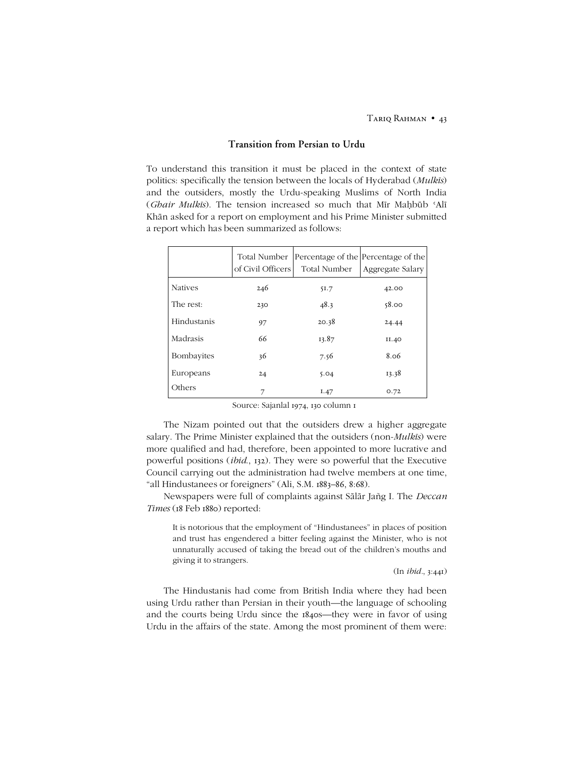## **Transition from Persian to Urdu**

To understand this transition it must be placed in the context of state politics: specifically the tension between the locals of Hyderabad (*Mulkīs*) and the outsiders, mostly the Urdu-speaking Muslims of North India (*Ghair Mulkīs*). The tension increased so much that Mīr Maḥbūb ʿAlī Khān asked for a report on employment and his Prime Minister submitted a report which has been summarized as follows:

|                | Total Number<br>of Civil Officers | Percentage of the Percentage of the<br>Total Number | Aggregate Salary |
|----------------|-----------------------------------|-----------------------------------------------------|------------------|
| <b>Natives</b> | 246                               | 51.7                                                | 42.00            |
| The rest:      | 230                               | 48.3                                                | 58.00            |
| Hindustanis    | 97                                | 20.38                                               | 24.44            |
| Madrasis       | 66                                | 13.87                                               | II.40            |
| Bombayites     | 36                                | 7.56                                                | 8.06             |
| Europeans      | 24                                | 5.04                                                | 13.38            |
| Others         | 7                                 | I.47                                                | 0.72             |

Source: Sajanlal 1974, 130 column 1

The Nizam pointed out that the outsiders drew a higher aggregate salary. The Prime Minister explained that the outsiders (non-*Mulkīs*) were more qualified and had, therefore, been appointed to more lucrative and powerful positions (*ibid*., 132). They were so powerful that the Executive Council carrying out the administration had twelve members at one time, "all Hindustanees or foreigners" (Ali, S.M. 1883-86, 8:68).

Newspapers were full of complaints against Sālār Jañg I. The *Deccan Times* (18 Feb 1880) reported:

It is notorious that the employment of "Hindustanees" in places of position and trust has engendered a bitter feeling against the Minister, who is not unnaturally accused of taking the bread out of the children's mouths and giving it to strangers.

(In *ibid.*, 3:441)

The Hindustanis had come from British India where they had been using Urdu rather than Persian in their youth—the language of schooling and the courts being Urdu since the 1840s—they were in favor of using Urdu in the affairs of the state. Among the most prominent of them were: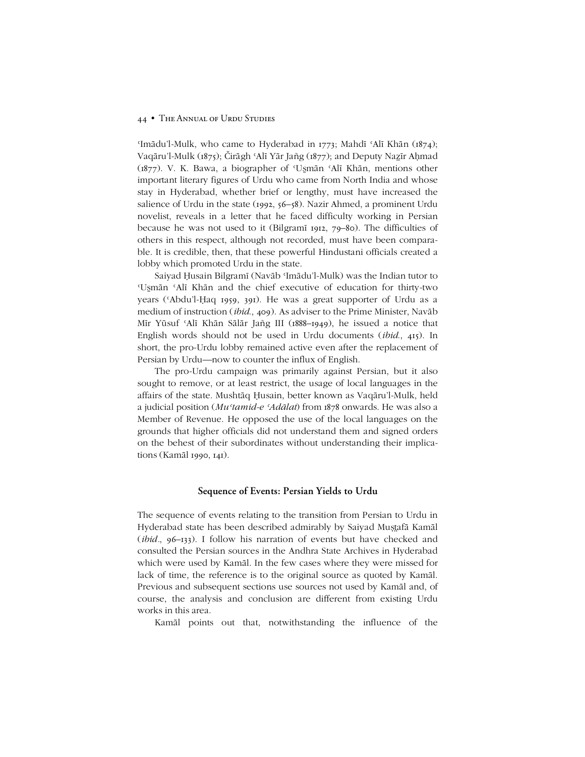#### 44 • THE ANNUAL OF URDU STUDIES

'Imādu'l-Mulk, who came to Hyderabad in 1773; Mahdī 'Alī Khān (1874); Vaqāruíl-Mulk (1875); Čirāgh ʿAlī Yār Jañg (1877); and Deputy Naẕīr Aḥmad (1877). V. K. Bawa, a biographer of 'Usmān 'Alī Khān, mentions other important literary figures of Urdu who came from North India and whose stay in Hyderabad, whether brief or lengthy, must have increased the salience of Urdu in the state (1992,  $56–58$ ). Nazir Ahmed, a prominent Urdu novelist, reveals in a letter that he faced difficulty working in Persian because he was not used to it (Bilgramī 1912, 79-80). The difficulties of others in this respect, although not recorded, must have been comparable. It is credible, then, that these powerful Hindustani officials created a lobby which promoted Urdu in the state.

Saiyad Ḥusain Bilgramī (Navāb 'Imādu'l-Mulk) was the Indian tutor to 'Usmān 'Alī Khān and the chief executive of education for thirty-two years (ʿAbduíl-Ḥaq 1959, 391). He was a great supporter of Urdu as a medium of instruction (*ibid*., 409). As adviser to the Prime Minister, Navāb Mīr Yūsuf 'Alī Khān Sālār Jañg III (1888-1949), he issued a notice that English words should not be used in Urdu documents (*ibid*., 415). In short, the pro-Urdu lobby remained active even after the replacement of Persian by Urdu—now to counter the influx of English.

The pro-Urdu campaign was primarily against Persian, but it also sought to remove, or at least restrict, the usage of local languages in the affairs of the state. Mushtāq Ḥusain, better known as Vaqāruíl-Mulk, held a judicial position (*Muʿtamid-e ʿAdālat*) from 1878 onwards. He was also a Member of Revenue. He opposed the use of the local languages on the grounds that higher officials did not understand them and signed orders on the behest of their subordinates without understanding their implications (Kamāl 1990, 141).

#### **Sequence of Events: Persian Yields to Urdu**

The sequence of events relating to the transition from Persian to Urdu in Hyderabad state has been described admirably by Saiyad Muṣafā Kamāl  $(ibid., 96–133)$ . I follow his narration of events but have checked and consulted the Persian sources in the Andhra State Archives in Hyderabad which were used by Kamāl. In the few cases where they were missed for lack of time, the reference is to the original source as quoted by Kamāl. Previous and subsequent sections use sources not used by Kamāl and, of course, the analysis and conclusion are different from existing Urdu works in this area.

Kamāl points out that, notwithstanding the influence of the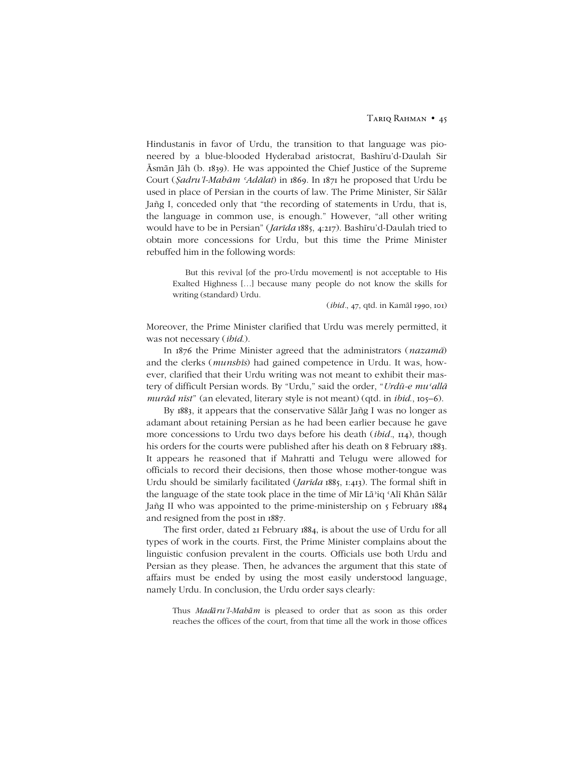Hindustanis in favor of Urdu, the transition to that language was pioneered by a blue-blooded Hyderabad aristocrat, Bashīruíd-Daulah Sir Āsmān Jāh (b. 1839). He was appointed the Chief Justice of the Supreme Court (*Ṣadruíl-Mahām ʿAdālat*) in 1869. In 1871 he proposed that Urdu be used in place of Persian in the courts of law. The Prime Minister, Sir Sālār Jañg I, conceded only that "the recording of statements in Urdu, that is, the language in common use, is enough." However, "all other writing would have to be in Persianî (*Jarīda* 1885, 4:217). Bashīruíd-Daulah tried to obtain more concessions for Urdu, but this time the Prime Minister rebuffed him in the following words:

But this revival [of the pro-Urdu movement] is not acceptable to His Exalted Highness [...] because many people do not know the skills for writing (standard) Urdu.

(*ibid.*, 47, qtd. in Kamāl 1990, 101)

Moreover, the Prime Minister clarified that Urdu was merely permitted, it was not necessary (*ibid*.).

In 1876 the Prime Minister agreed that the administrators (*nazamā*) and the clerks (*munshīs*) had gained competence in Urdu. It was, however, clarified that their Urdu writing was not meant to exhibit their mastery of difficult Persian words. By "Urdu," said the order, "Urdū-e mu'allā *murād nīst*" (an elevated, literary style is not meant) (qtd. in *ibid.*, 105–6).

By 1883, it appears that the conservative Sālār Jañg I was no longer as adamant about retaining Persian as he had been earlier because he gave more concessions to Urdu two days before his death (*ibid.*, 114), though his orders for the courts were published after his death on 8 February 1883. It appears he reasoned that if Mahratti and Telugu were allowed for officials to record their decisions, then those whose mother-tongue was Urdu should be similarly facilitated (*Jarīda* 1885, 1:413). The formal shift in the language of the state took place in the time of Mīr Lāʾiq ʿAlī Khān Sālār Jañg II who was appointed to the prime-ministership on 5 February 1884 and resigned from the post in 1887.

The first order, dated 21 February 1884, is about the use of Urdu for all types of work in the courts. First, the Prime Minister complains about the linguistic confusion prevalent in the courts. Officials use both Urdu and Persian as they please. Then, he advances the argument that this state of affairs must be ended by using the most easily understood language, namely Urdu. In conclusion, the Urdu order says clearly:

Thus *Madāruíl-Mahām* is pleased to order that as soon as this order reaches the offices of the court, from that time all the work in those offices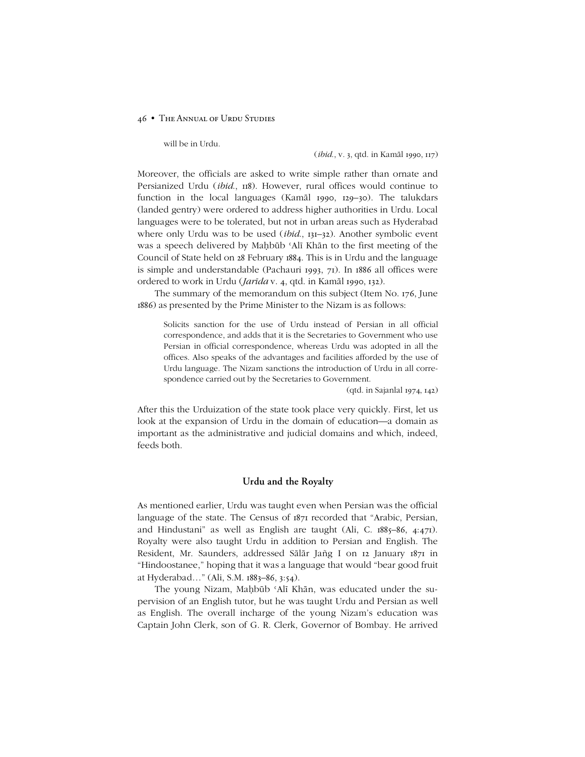will be in Urdu.

(*ibid*., v. 3, qtd. in Kamāl 1990, 117)

Moreover, the officials are asked to write simple rather than ornate and Persianized Urdu (*ibid*., 118). However, rural offices would continue to function in the local languages (Kamāl 1990, 129-30). The talukdars (landed gentry) were ordered to address higher authorities in Urdu. Local languages were to be tolerated, but not in urban areas such as Hyderabad where only Urdu was to be used *(ibid.*, 131–32). Another symbolic event was a speech delivered by Maḥbūb ʿAlī Khān to the first meeting of the Council of State held on 28 February 1884. This is in Urdu and the language is simple and understandable (Pachauri 1993, 71). In 1886 all offices were ordered to work in Urdu (*Jarīda* v. 4, qtd. in Kamāl 1990, 132).

The summary of the memorandum on this subject (Item No. 176, June 1886) as presented by the Prime Minister to the Nizam is as follows:

Solicits sanction for the use of Urdu instead of Persian in all official correspondence, and adds that it is the Secretaries to Government who use Persian in official correspondence, whereas Urdu was adopted in all the offices. Also speaks of the advantages and facilities afforded by the use of Urdu language. The Nizam sanctions the introduction of Urdu in all correspondence carried out by the Secretaries to Government.

(qtd. in Sajanlal 1974, 142)

After this the Urduization of the state took place very quickly. First, let us look at the expansion of Urdu in the domain of education—a domain as important as the administrative and judicial domains and which, indeed, feeds both.

## **Urdu and the Royalty**

As mentioned earlier, Urdu was taught even when Persian was the official language of the state. The Census of  $187I$  recorded that "Arabic, Persian, and Hindustani" as well as English are taught (Ali, C.  $1885-86$ ,  $4:471$ ). Royalty were also taught Urdu in addition to Persian and English. The Resident, Mr. Saunders, addressed Sālār Jañg I on 12 January 1871 in "Hindoostanee," hoping that it was a language that would "bear good fruit at Hyderabad..." (Ali, S.M. 1883-86, 3:54).

The young Nizam, Maḥbūb ʿAlī Khān, was educated under the supervision of an English tutor, but he was taught Urdu and Persian as well as English. The overall incharge of the young Nizam's education was Captain John Clerk, son of G. R. Clerk, Governor of Bombay. He arrived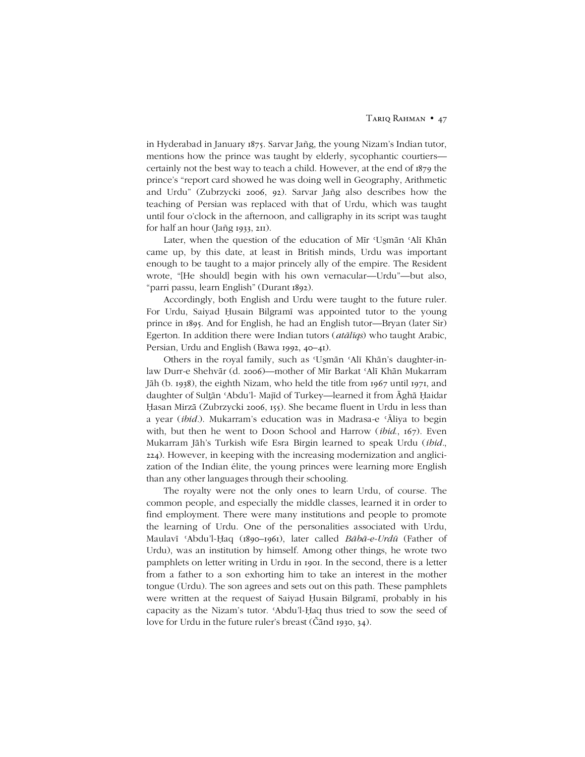in Hyderabad in January 1875. Sarvar Jañg, the young Nizamís Indian tutor, mentions how the prince was taught by elderly, sycophantic courtiers certainly not the best way to teach a child. However, at the end of 1879 the prince's "report card showed he was doing well in Geography, Arithmetic and Urduî (Zubrzycki 2006, 92). Sarvar Jañg also describes how the teaching of Persian was replaced with that of Urdu, which was taught until four o'clock in the afternoon, and calligraphy in its script was taught for half an hour (Jañg 1933, 211).

Later, when the question of the education of Mīr 'Usmān 'Alī Khān came up, by this date, at least in British minds, Urdu was important enough to be taught to a major princely ally of the empire. The Resident wrote, "[He should] begin with his own vernacular—Urdu"—but also, "parri passu, learn English" (Durant 1892).

Accordingly, both English and Urdu were taught to the future ruler. For Urdu, Saiyad Ḥusain Bilgramī was appointed tutor to the young prince in 1895. And for English, he had an English tutor—Bryan (later Sir) Egerton. In addition there were Indian tutors (*atālīqs*) who taught Arabic, Persian, Urdu and English (Bawa 1992, 40-41).

Others in the royal family, such as 'Usmān 'Alī Khān's daughter-inlaw Durr-e Shehvār (d. 2006)—mother of Mīr Barkat 'Alī Khān Mukarram Jāh (b. 1938), the eighth Nizam, who held the title from 1967 until 1971, and daughter of Sultān 'Abdu'l- Majīd of Turkey—learned it from Āghā Ḥaidar Ḥasan Mirzā (Zubrzycki 2006, 155). She became fluent in Urdu in less than a year (*ibid.*). Mukarramís education was in Madrasa-e ʿĀliya to begin with, but then he went to Doon School and Harrow (*ibid*., 167). Even Mukarram Jāhís Turkish wife Esra Birgin learned to speak Urdu (*ibid.*, 224). However, in keeping with the increasing modernization and anglicization of the Indian élite, the young princes were learning more English than any other languages through their schooling.

The royalty were not the only ones to learn Urdu, of course. The common people, and especially the middle classes, learned it in order to find employment. There were many institutions and people to promote the learning of Urdu. One of the personalities associated with Urdu, Maulavī 'Abdu'l-Ḥaq (1890-1961), later called *Bābā-e-Urdū* (Father of Urdu), was an institution by himself. Among other things, he wrote two pamphlets on letter writing in Urdu in 1901. In the second, there is a letter from a father to a son exhorting him to take an interest in the mother tongue (Urdu). The son agrees and sets out on this path. These pamphlets were written at the request of Saiyad Ḥusain Bilgramī, probably in his capacity as the Nizam's tutor. 'Abdu'l-Ḥaq thus tried to sow the seed of love for Urdu in the future ruler's breast (Čānd 1930, 34).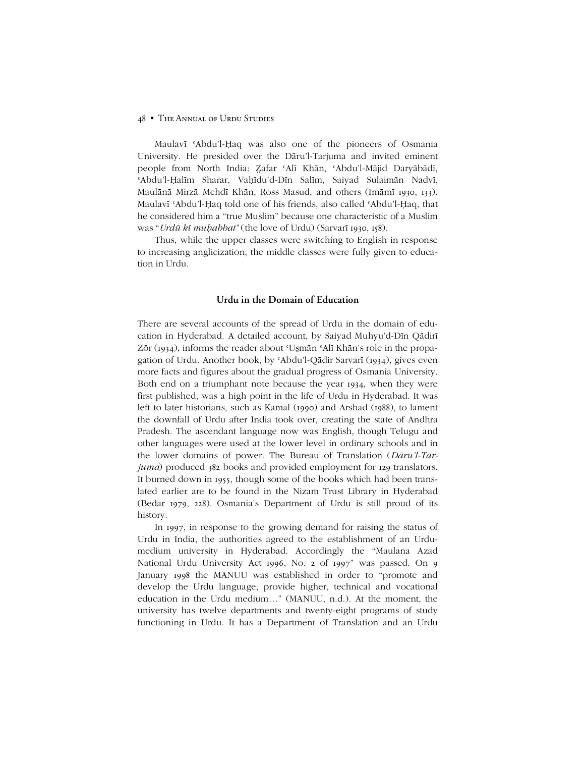Maulavī 'Abdu'l-Haq was also one of the pioneers of Osmania University. He presided over the Dāruíl-Tarjuma and invited eminent people from North India: Zafar 'Alī Khān, 'Abdu'l-Mājid Daryābādī, ʿAbduíl-Ḥalīm Sharar, Vaḥīduíd-Dīn Salīm, Saiyad Sulaimān Nadvī, Maulānā Mirzā Mehdī Khān, Ross Masud, and others (Imāmī 1930, 133). Maulavī 'Abdu'l-Ḥaq told one of his friends, also called 'Abdu'l-Ḥaq, that he considered him a "true Muslim" because one characteristic of a Muslim was ì*Urdū kī muḥabbat*î(the love of Urdu) (Sarvarī 1930, 158).

Thus, while the upper classes were switching to English in response to increasing anglicization, the middle classes were fully given to education in Urdu.

## **Urdu in the Domain of Education**

There are several accounts of the spread of Urdu in the domain of education in Hyderabad. A detailed account, by Saiyad Muhyuíd-Dīn Qādirī Zōr (1934), informs the reader about 'Usmān 'Alī Khān's role in the propagation of Urdu. Another book, by ʿAbduíl-Qādir Sarvarī (1934), gives even more facts and figures about the gradual progress of Osmania University. Both end on a triumphant note because the year 1934, when they were first published, was a high point in the life of Urdu in Hyderabad. It was left to later historians, such as Kamāl (1990) and Arshad (1988), to lament the downfall of Urdu after India took over, creating the state of Andhra Pradesh. The ascendant language now was English, though Telugu and other languages were used at the lower level in ordinary schools and in the lower domains of power. The Bureau of Translation (*Dāruíl-Tarjuma*) produced 382 books and provided employment for 129 translators. It burned down in 1955, though some of the books which had been translated earlier are to be found in the Nizam Trust Library in Hyderabad (Bedar 1979, 228). Osmaniaís Department of Urdu is still proud of its history.

In 1997, in response to the growing demand for raising the status of Urdu in India, the authorities agreed to the establishment of an Urdumedium university in Hyderabad. Accordingly the "Maulana Azad National Urdu University Act 1996, No. 2 of 1997" was passed. On 9 January 1998 the MANUU was established in order to "promote and develop the Urdu language, provide higher, technical and vocational education in the Urdu medium..." (MANUU, n.d.). At the moment, the university has twelve departments and twenty-eight programs of study functioning in Urdu. It has a Department of Translation and an Urdu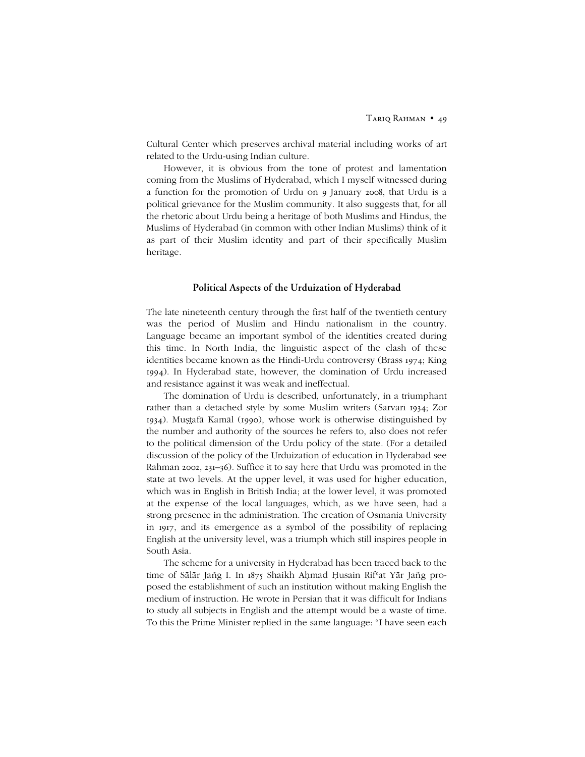Cultural Center which preserves archival material including works of art related to the Urdu-using Indian culture.

However, it is obvious from the tone of protest and lamentation coming from the Muslims of Hyderabad, which I myself witnessed during a function for the promotion of Urdu on 9 January 2008, that Urdu is a political grievance for the Muslim community. It also suggests that, for all the rhetoric about Urdu being a heritage of both Muslims and Hindus, the Muslims of Hyderabad (in common with other Indian Muslims) think of it as part of their Muslim identity and part of their specifically Muslim heritage.

### **Political Aspects of the Urduization of Hyderabad**

The late nineteenth century through the first half of the twentieth century was the period of Muslim and Hindu nationalism in the country. Language became an important symbol of the identities created during this time. In North India, the linguistic aspect of the clash of these identities became known as the Hindi-Urdu controversy (Brass 1974; King 1994). In Hyderabad state, however, the domination of Urdu increased and resistance against it was weak and ineffectual.

The domination of Urdu is described, unfortunately, in a triumphant rather than a detached style by some Muslim writers (Sarvarī 1934; Zōr 1934). Muștafā Kamāl (1990), whose work is otherwise distinguished by the number and authority of the sources he refers to, also does not refer to the political dimension of the Urdu policy of the state. (For a detailed discussion of the policy of the Urduization of education in Hyderabad see Rahman 2002, 231-36). Suffice it to say here that Urdu was promoted in the state at two levels. At the upper level, it was used for higher education, which was in English in British India; at the lower level, it was promoted at the expense of the local languages, which, as we have seen, had a strong presence in the administration. The creation of Osmania University in 1917, and its emergence as a symbol of the possibility of replacing English at the university level, was a triumph which still inspires people in South Asia.

The scheme for a university in Hyderabad has been traced back to the time of Sālār Jañg I. In 1875 Shaikh Aḥmad Ḥusain Rifsat Yār Jañg proposed the establishment of such an institution without making English the medium of instruction. He wrote in Persian that it was difficult for Indians to study all subjects in English and the attempt would be a waste of time. To this the Prime Minister replied in the same language: "I have seen each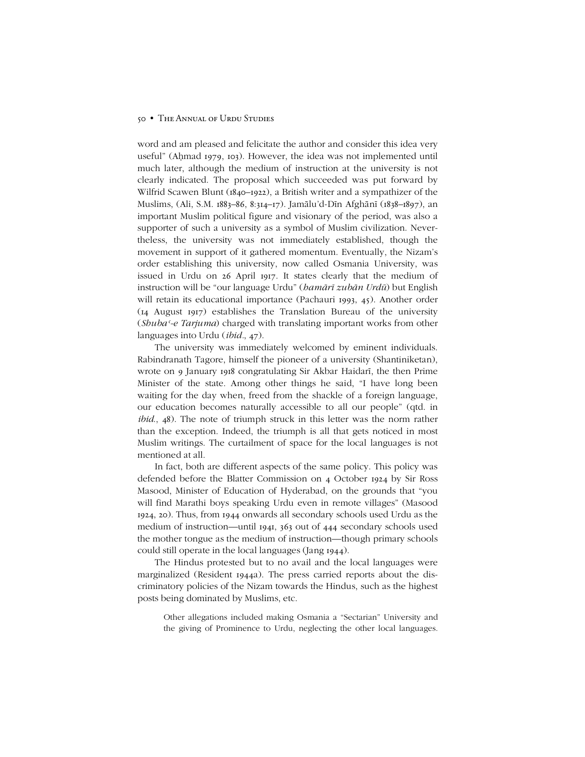word and am pleased and felicitate the author and consider this idea very useful" (Aḥmad 1979, 103). However, the idea was not implemented until much later, although the medium of instruction at the university is not clearly indicated. The proposal which succeeded was put forward by Wilfrid Scawen Blunt (1840-1922), a British writer and a sympathizer of the Muslims, (Ali, S.M. 1883–86, 8:314–17). Jamālu'd-Dīn Afghānī (1838–1897), an important Muslim political figure and visionary of the period, was also a supporter of such a university as a symbol of Muslim civilization. Nevertheless, the university was not immediately established, though the movement in support of it gathered momentum. Eventually, the Nizam's order establishing this university, now called Osmania University, was issued in Urdu on 26 April 1917. It states clearly that the medium of instruction will be "our language Urdu" (*hamārī zubān Urdū*) but English will retain its educational importance (Pachauri 1993, 45). Another order (14 August 1917) establishes the Translation Bureau of the university (*Shubaʿ-e Tarjuma*) charged with translating important works from other languages into Urdu (*ibid.*, 47).

The university was immediately welcomed by eminent individuals. Rabindranath Tagore, himself the pioneer of a university (Shantiniketan), wrote on 9 January 1918 congratulating Sir Akbar Haidarī, the then Prime Minister of the state. Among other things he said, "I have long been waiting for the day when, freed from the shackle of a foreign language, our education becomes naturally accessible to all our people" (qtd. in *ibid*., 48). The note of triumph struck in this letter was the norm rather than the exception. Indeed, the triumph is all that gets noticed in most Muslim writings. The curtailment of space for the local languages is not mentioned at all.

In fact, both are different aspects of the same policy. This policy was defended before the Blatter Commission on 4 October 1924 by Sir Ross Masood, Minister of Education of Hyderabad, on the grounds that "you will find Marathi boys speaking Urdu even in remote villages" (Masood 1924, 20). Thus, from 1944 onwards all secondary schools used Urdu as the medium of instruction—until 1941,  $363$  out of 444 secondary schools used the mother tongue as the medium of instruction—though primary schools could still operate in the local languages (Jang 1944).

The Hindus protested but to no avail and the local languages were marginalized (Resident 1944a). The press carried reports about the discriminatory policies of the Nizam towards the Hindus, such as the highest posts being dominated by Muslims, etc.

Other allegations included making Osmania a "Sectarian" University and the giving of Prominence to Urdu, neglecting the other local languages.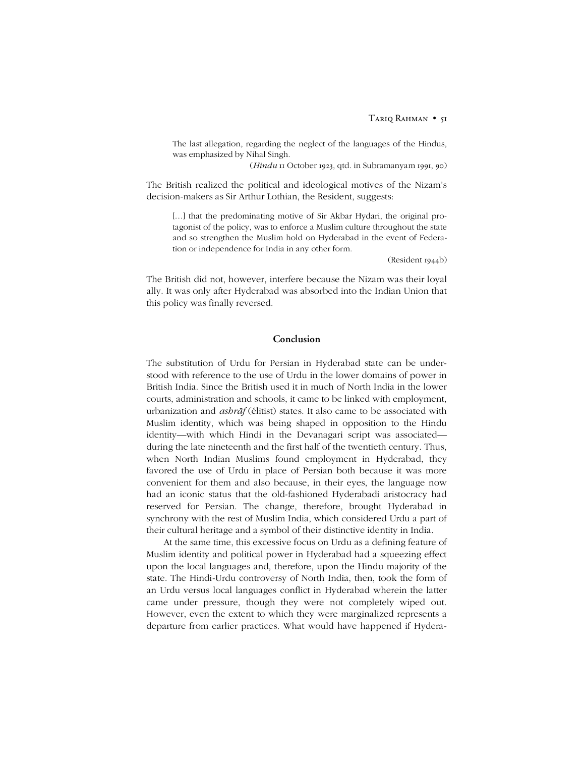The last allegation, regarding the neglect of the languages of the Hindus, was emphasized by Nihal Singh.

(*Hindu* 11 October 1923, qtd. in Subramanyam 1991, 90)

The British realized the political and ideological motives of the Nizam's decision-makers as Sir Arthur Lothian, the Resident, suggests:

[...] that the predominating motive of Sir Akbar Hydari, the original protagonist of the policy, was to enforce a Muslim culture throughout the state and so strengthen the Muslim hold on Hyderabad in the event of Federation or independence for India in any other form.

(Resident 1944b)

The British did not, however, interfere because the Nizam was their loyal ally. It was only after Hyderabad was absorbed into the Indian Union that this policy was finally reversed.

## **Conclusion**

The substitution of Urdu for Persian in Hyderabad state can be understood with reference to the use of Urdu in the lower domains of power in British India. Since the British used it in much of North India in the lower courts, administration and schools, it came to be linked with employment, urbanization and *ashrāf* (élitist) states. It also came to be associated with Muslim identity, which was being shaped in opposition to the Hindu identity—with which Hindi in the Devanagari script was associated during the late nineteenth and the first half of the twentieth century. Thus, when North Indian Muslims found employment in Hyderabad, they favored the use of Urdu in place of Persian both because it was more convenient for them and also because, in their eyes, the language now had an iconic status that the old-fashioned Hyderabadi aristocracy had reserved for Persian. The change, therefore, brought Hyderabad in synchrony with the rest of Muslim India, which considered Urdu a part of their cultural heritage and a symbol of their distinctive identity in India.

At the same time, this excessive focus on Urdu as a defining feature of Muslim identity and political power in Hyderabad had a squeezing effect upon the local languages and, therefore, upon the Hindu majority of the state. The Hindi-Urdu controversy of North India, then, took the form of an Urdu versus local languages conflict in Hyderabad wherein the latter came under pressure, though they were not completely wiped out. However, even the extent to which they were marginalized represents a departure from earlier practices. What would have happened if Hydera-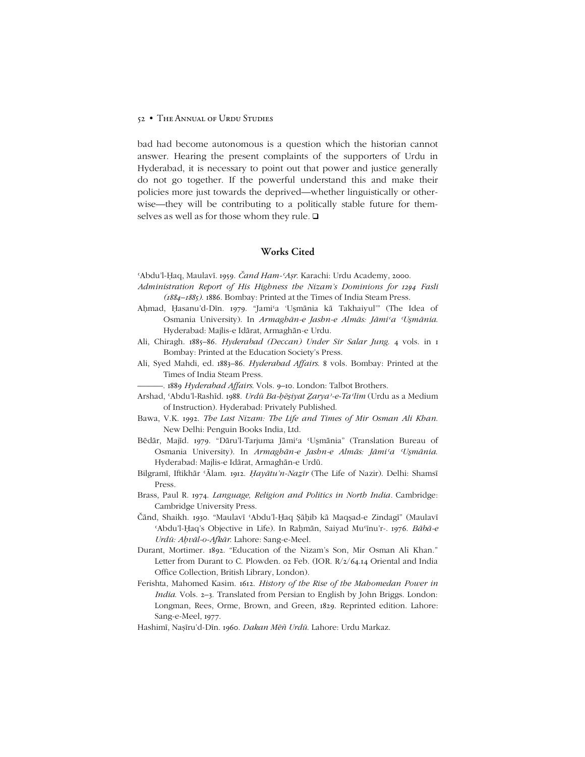bad had become autonomous is a question which the historian cannot answer. Hearing the present complaints of the supporters of Urdu in Hyderabad, it is necessary to point out that power and justice generally do not go together. If the powerful understand this and make their policies more just towards the deprived—whether linguistically or otherwise—they will be contributing to a politically stable future for themselves as well as for those whom they rule.  $\Box$ 

## **Works Cited**

ʿAbduíl-Ḥaq, Maulavī. 1959. *Čand Ham-ʿAṣr*. Karachi: Urdu Academy, 2000.

- *Administration Report of His Highness the Nizamís Dominions for 1294 Fasli (1884ñ1885)*. 1886. Bombay: Printed at the Times of India Steam Press.
- Aḥmad, Ḥasanu'd-Dīn. 1979. "Jami'a 'Usmānia kā Takhaiyul'" (The Idea of Osmania University). In *Armaghān-e Jashn-e Almās: Jāmiʿa ʿUÌmānia*. Hyderabad: Majlis-e Idārat, Armaghān-e Urdu.
- Ali, Chiragh. 1885-86. *Hyderabad (Deccan) Under Sir Salar Jung.* 4 vols. in 1 Bombay: Printed at the Education Society's Press.
- Ali, Syed Mahdi, ed. 1883-86. *Hyderabad Affairs*. 8 vols. Bombay: Printed at the Times of India Steam Press.

-. 1889 *Hyderabad Affairs*. Vols. 9–10. London: Talbot Brothers.

- Arshad, ʿAbduíl-Rashīd. 1988. *Urdū Ba-ḥēÌiyat Ẕaryaʾ-e-Taʿlīm* (Urdu as a Medium of Instruction). Hyderabad: Privately Published.
- Bawa, V.K. 1992. *The Last Nizam: The Life and Times of Mir Osman Ali Khan*. New Delhi: Penguin Books India, Ltd.
- Bēdār, Majīd. 1979. "Dāru'l-Tarjuma Jāmi'a 'Usmānia" (Translation Bureau of Osmania University). In *Armaghān-e Jashn-e Almās: Jāmiʿa ʿUÌmānia*. Hyderabad: Majlis-e Idārat, Armaghān-e Urdū.
- Bilgramī, Iftikhār ʿĀlam. 1912. *Ḥayātuín-Naẕīr* (The Life of Nazir). Delhi: Shamsī Press.
- Brass, Paul R. 1974. *Language, Religion and Politics in North India.* Cambridge: Cambridge University Press.
- Čānd, Shaikh. 1930. "Maulavī 'Abdu'l-Haq Sāhib kā Maqsad-e Zindagī" (Maulavī ʿAbduíl-Ḥaqís Objective in Life). In Raḥmān, Saiyad Muʿīnuír-. 1976. *Bābā-e Urdū: Aḥvāl-o-Afkār*. Lahore: Sang-e-Meel.
- Durant, Mortimer. 1892. "Education of the Nizam's Son, Mir Osman Ali Khan." Letter from Durant to C. Plowden. 02 Feb. (IOR. R/2/64.14 Oriental and India Office Collection, British Library, London).
- Ferishta, Mahomed Kasim. 1612. *History of the Rise of the Mahomedan Power in India*. Vols. 2–3. Translated from Persian to English by John Briggs. London: Longman, Rees, Orme, Brown, and Green, 1829. Reprinted edition. Lahore: Sang-e-Meel, 1977.
- Hashimī, Naṣīruíd-Dīn. 1960. *Dakan Mēñ Urdū*. Lahore: Urdu Markaz.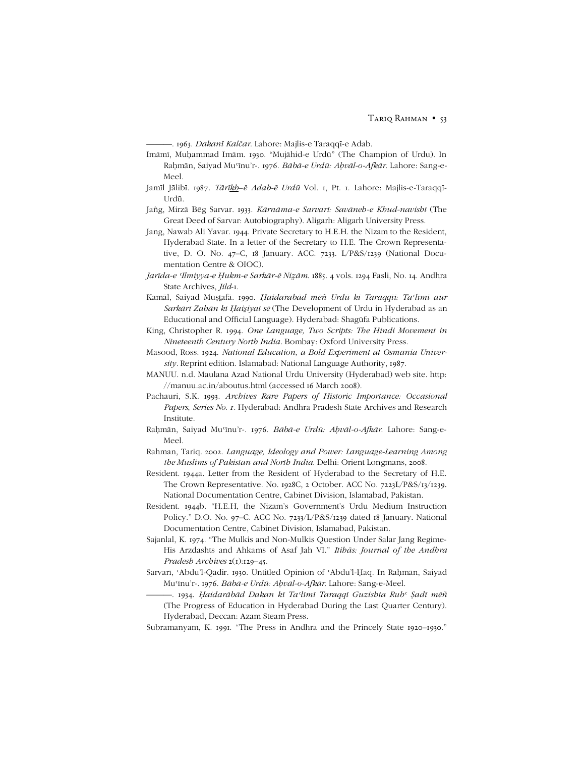óóó. 1963. *Dakanī Kalčar*. Lahore: Majlis-e Taraqqī-e Adab.

- Imāmī, Muḥammad Imām. 1930. "Mujāhid-e Urdū" (The Champion of Urdu). In Raḥmān, Saiyad Muʿīnuír-. 1976. *Bābā-e Urdū: Aḥvāl-o-Afkār*. Lahore: Sang-e-Meel.
- Jamīl Jālibī. 1987. Tārīkh-ē Adab-ē Urdū Vol. 1, Pt. 1. Lahore: Majlis-e-Taraqqī-Urdū.
- Jañg, Mirzā Bēg Sarvar. 1933. *Kārnāma-e Sarvarī: Savāneh-e Khud-navisht* (The Great Deed of Sarvar: Autobiography). Aligarh: Aligarh University Press.
- Jang, Nawab Ali Yavar. 1944. Private Secretary to H.E.H. the Nizam to the Resident, Hyderabad State. In a letter of the Secretary to H.E. The Crown Representative, D. O. No. 47–C, 18 January. ACC. 7233. L/P&S/1239 (National Documentation Centre & OIOC).
- *Jarīda-e ʿIlmiyya-e Ḥukm-e Sarkār-ē Niām*. 1885. 4 vols. 1294 Fasli, No. 14. Andhra State Archives, *Jild*-1.
- Kamāl, Saiyad Mustafā. 1990. Haidarabād mēñ Urdū kī Taragqīi: Taʻlīmī aur *Sarkārī Zabān kī ḤaiÌiyat sē* (The Development of Urdu in Hyderabad as an Educational and Official Language). Hyderabad: Shagūfa Publications.
- King, Christopher R. 1994. *One Language, Two Scripts: The Hindi Movement in Nineteenth Century North India.* Bombay: Oxford University Press.
- Masood, Ross. 1924. *National Education, a Bold Experiment at Osmania University.* Reprint edition. Islamabad: National Language Authority, 1987.
- MANUU. n.d. Maulana Azad National Urdu University (Hyderabad) web site. http: //manuu.ac.in/aboutus.html (accessed 16 March 2008).
- Pachauri, S.K. 1993. *Archives Rare Papers of Historic Importance: Occasional Papers*, *Series No*. *1.* Hyderabad: Andhra Pradesh State Archives and Research Institute.
- Raḥmān, Saiyad Muʿīnuír-. 1976. *Bābā-e Urdū: Aḥvāl-o-Afkār*. Lahore: Sang-e-Meel.
- Rahman, Tariq. 2002. *Language, Ideology and Power: Language-Learning Among the Muslims of Pakistan and North India*. Delhi: Orient Longmans, 2008.
- Resident. 1944a. Letter from the Resident of Hyderabad to the Secretary of H.E. The Crown Representative. No. 1928C, 2 October. ACC No. 7223L/P&S/13/1239. National Documentation Centre, Cabinet Division, Islamabad, Pakistan.
- Resident. 1944b. "H.E.H, the Nizam's Government's Urdu Medium Instruction Policy." D.O. No. 97–C. ACC No. 7233/L/P&S/1239 dated 18 January. National Documentation Centre, Cabinet Division, Islamabad, Pakistan.
- Sajanlal, K. 1974. "The Mulkis and Non-Mulkis Question Under Salar Jang Regime-His Arzdashts and Ahkams of Asaf Jah VI.î *Itihās: Journal of the Andhra Pradesh Archives* 2(1):129-45.
- Sarvarī, 'Abdu'l-Qādir. 1930. Untitled Opinion of 'Abdu'l-Ḥaq. In Raḥmān, Saiyad Muʿīnuír-. 1976. *Bābā-e Urdū: Aḥvāl-o-Afkār*. Lahore: Sang-e-Meel.
	- -. 1934. Haidarābād Dakan kī Taʻlīmī Taraqqī Guzishta Rubʻ Şadī mēñ (The Progress of Education in Hyderabad During the Last Quarter Century). Hyderabad, Deccan: Azam Steam Press.
- Subramanyam, K. 1991. "The Press in Andhra and the Princely State 1920–1930."